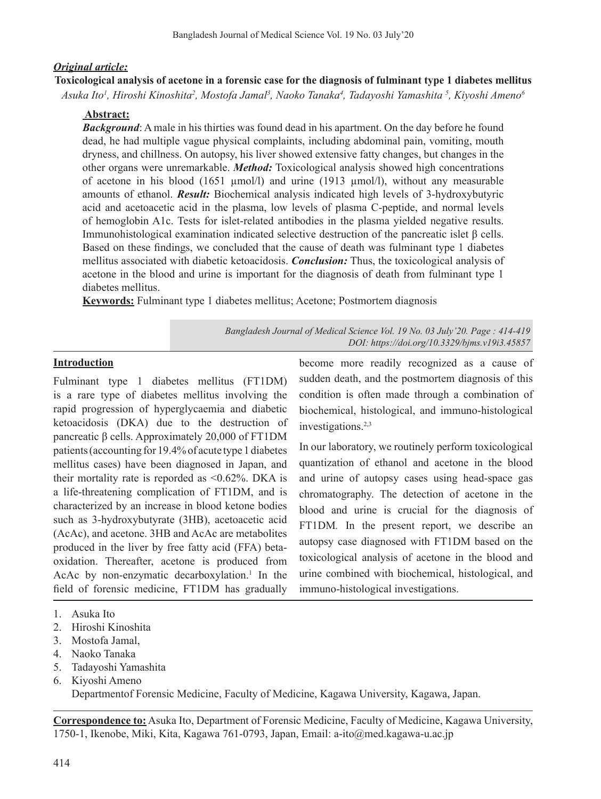#### *Original article:*

# **Toxicological analysis of acetone in a forensic case for the diagnosis of fulminant type 1 diabetes mellitus** *Asuka Ito1 , Hiroshi Kinoshita2 , Mostofa Jamal3 , Naoko Tanaka4 , Tadayoshi Yamashita 5 , Kiyoshi Ameno6*

#### **Abstract:**

*Background*: A male in his thirties was found dead in his apartment. On the day before he found dead, he had multiple vague physical complaints, including abdominal pain, vomiting, mouth dryness, and chillness. On autopsy, his liver showed extensive fatty changes, but changes in the other organs were unremarkable. *Method:* Toxicological analysis showed high concentrations of acetone in his blood (1651  $\mu$ mol/l) and urine (1913  $\mu$ mol/l), without any measurable amounts of ethanol. *Result:* Biochemical analysis indicated high levels of 3-hydroxybutyric acid and acetoacetic acid in the plasma, low levels of plasma C-peptide, and normal levels of hemoglobin A1c. Tests for islet-related antibodies in the plasma yielded negative results. Immunohistological examination indicated selective destruction of the pancreatic islet β cells. Based on these findings, we concluded that the cause of death was fulminant type 1 diabetes mellitus associated with diabetic ketoacidosis. *Conclusion:* Thus, the toxicological analysis of acetone in the blood and urine is important for the diagnosis of death from fulminant type 1 diabetes mellitus.

**Keywords:** Fulminant type 1 diabetes mellitus; Acetone; Postmortem diagnosis

*Bangladesh Journal of Medical Science Vol. 19 No. 03 July'20. Page : 414-419 DOI: https://doi.org/10.3329/bjms.v19i3.45857*

#### **Introduction**

Fulminant type 1 diabetes mellitus (FT1DM) is a rare type of diabetes mellitus involving the rapid progression of hyperglycaemia and diabetic ketoacidosis (DKA) due to the destruction of pancreatic β cells. Approximately 20,000 of FT1DM patients(accounting for 19.4%of acute type 1 diabetes mellitus cases) have been diagnosed in Japan, and their mortality rate is reporded as  $\leq 0.62\%$ . DKA is a life-threatening complication of FT1DM, and is characterized by an increase in blood ketone bodies such as 3-hydroxybutyrate (3HB), acetoacetic acid (AcAc), and acetone. 3HB and AcAc are metabolites produced in the liver by free fatty acid (FFA) betaoxidation. Thereafter, acetone is produced from AcAc by non-enzymatic decarboxylation.<sup>1</sup> In the field of forensic medicine, FT1DM has gradually

become more readily recognized as a cause of sudden death, and the postmortem diagnosis of this condition is often made through a combination of biochemical, histological, and immuno-histological investigations.2,3

In our laboratory, we routinely perform toxicological quantization of ethanol and acetone in the blood and urine of autopsy cases using head-space gas chromatography. The detection of acetone in the blood and urine is crucial for the diagnosis of FT1DM*.* In the present report, we describe an autopsy case diagnosed with FT1DM based on the toxicological analysis of acetone in the blood and urine combined with biochemical, histological, and immuno-histological investigations.

- 3. Mostofa Jamal,
- 4. Naoko Tanaka
- 5. Tadayoshi Yamashita
- 6. Kiyoshi Ameno Departmentof Forensic Medicine, Faculty of Medicine, Kagawa University, Kagawa, Japan.

**Correspondence to:** Asuka Ito, Department of Forensic Medicine, Faculty of Medicine, Kagawa University, 1750-1, Ikenobe, Miki, Kita, Kagawa 761-0793, Japan, Email: a-ito@med.kagawa-u.ac.jp

<sup>1.</sup> Asuka Ito

<sup>2.</sup> Hiroshi Kinoshita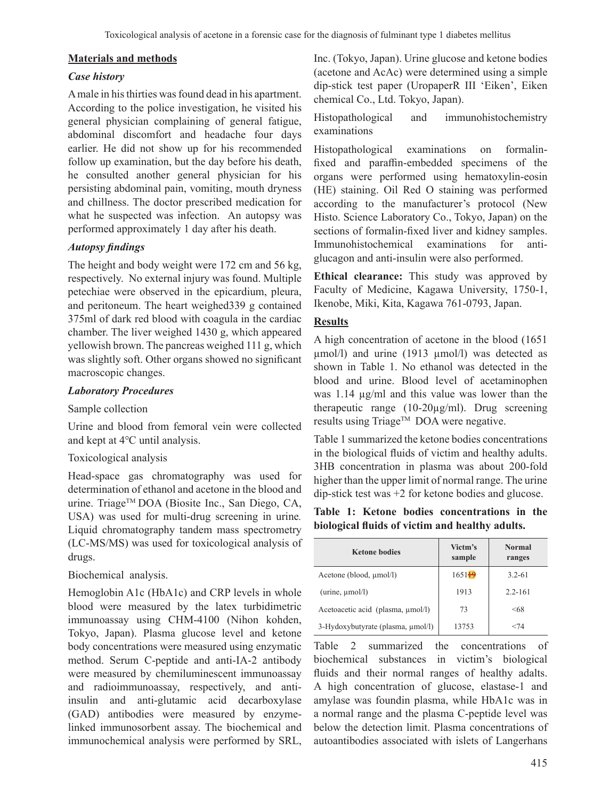#### **Materials and methods**

### *Case history*

Amale in histhirties wasfound dead in his apartment. According to the police investigation, he visited his general physician complaining of general fatigue, abdominal discomfort and headache four days earlier. He did not show up for his recommended follow up examination, but the day before his death, he consulted another general physician for his persisting abdominal pain, vomiting, mouth dryness and chillness. The doctor prescribed medication for what he suspected was infection. An autopsy was performed approximately 1 day after his death.

# *Autopsy findings*

The height and body weight were 172 cm and 56 kg, respectively. No external injury was found. Multiple petechiae were observed in the epicardium, pleura, and peritoneum. The heart weighed339 g contained 375ml of dark red blood with coagula in the cardiac chamber. The liver weighed 1430 g, which appeared yellowish brown. The pancreas weighed 111 g, which was slightly soft. Other organs showed no significant macroscopic changes.

## *Laboratory Procedures*

#### Sample collection

Urine and blood from femoral vein were collected and kept at 4℃ until analysis.

#### Toxicological analysis

Head-space gas chromatography was used for determination of ethanol and acetone in the blood and urine. Triage™ DOA (Biosite Inc., San Diego, CA, USA) was used for multi-drug screening in urine*.* Liquid chromatography tandem mass spectrometry (LC-MS/MS) was used for toxicological analysis of drugs.

## Biochemical analysis.

Hemoglobin A1c (HbA1c) and CRP levels in whole blood were measured by the latex turbidimetric immunoassay using CHM-4100 (Nihon kohden, Tokyo, Japan). Plasma glucose level and ketone body concentrations were measured using enzymatic method. Serum C-peptide and anti-IA-2 antibody were measured by chemiluminescent immunoassay and radioimmunoassay, respectively, and antiinsulin and anti-glutamic acid decarboxylase (GAD) antibodies were measured by enzymelinked immunosorbent assay. The biochemical and immunochemical analysis were performed by SRL,

Inc. (Tokyo, Japan). Urine glucose and ketone bodies (acetone and AcAc) were determined using a simple dip-stick test paper (UropaperR III 'Eiken', Eiken chemical Co., Ltd. Tokyo, Japan).

Histopathological and immunohistochemistry examinations

Histopathological examinations on formalinfixed and paraffin-embedded specimens of the organs were performed using hematoxylin-eosin (HE) staining. Oil Red O staining was performed according to the manufacturer's protocol (New Histo. Science Laboratory Co., Tokyo, Japan) on the sections of formalin-fixed liver and kidney samples. Immunohistochemical examinations for antiglucagon and anti-insulin were also performed.

**Ethical clearance:** This study was approved by Faculty of Medicine, Kagawa University, 1750-1, Ikenobe, Miki, Kita, Kagawa 761-0793, Japan.

### **Results**

A high concentration of acetone in the blood (1651 µmol/l) and urine (1913 µmol/l) was detected as shown in Table 1. No ethanol was detected in the blood and urine. Blood level of acetaminophen was 1.14 µg/ml and this value was lower than the therapeutic range (10-20µg/ml). Drug screening results using Triage™ DOA were negative.

Table 1 summarized the ketone bodies concentrations in the biological fluids of victim and healthy adults. 3HB concentration in plasma was about 200-fold higher than the upper limit of normal range. The urine dip-stick test was +2 for ketone bodies and glucose.

**Table 1: Ketone bodies concentrations in the biological fluids of victim and healthy adults.**

| <b>Ketone bodies</b>              | Victm's<br>sample | <b>Normal</b><br>ranges |
|-----------------------------------|-------------------|-------------------------|
| Acetone (blood, µmol/l)           | 165119            | $3.2 - 61$              |
| $(urine, \mu mol/l)$              | 1913              | $2.2 - 161$             |
| Acetoacetic acid (plasma, µmol/l) | 73                | $<$ 68                  |
| 3-Hydoxybutyrate (plasma, µmol/l) | 13753             | <74                     |

Table 2 summarized the concentrations of biochemical substances in victim's biological fluids and their normal ranges of healthy adalts. A high concentration of glucose, elastase-1 and amylase was foundin plasma, while HbA1c was in a normal range and the plasma C-peptide level was below the detection limit. Plasma concentrations of autoantibodies associated with islets of Langerhans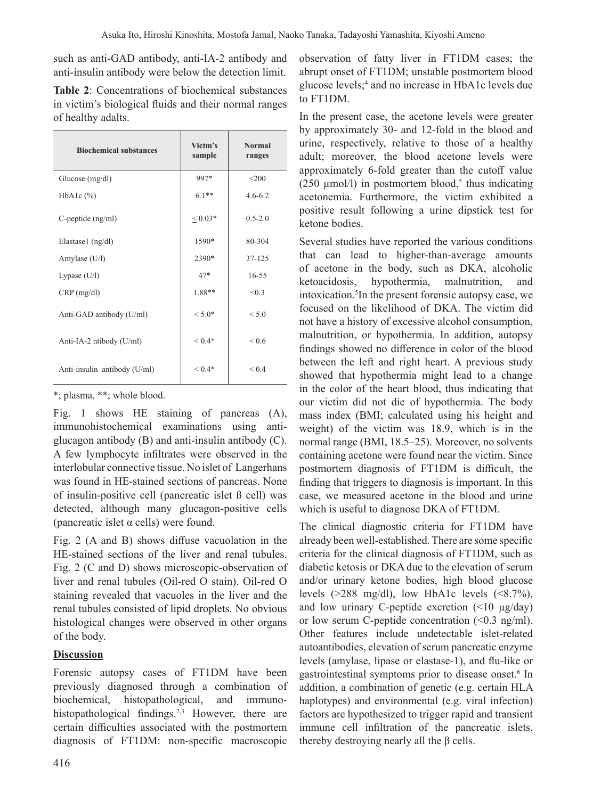such as anti-GAD antibody, anti-IA-2 antibody and anti-insulin antibody were below the detection limit.

| <b>Table 2:</b> Concentrations of biochemical substances |
|----------------------------------------------------------|
| in victim's biological fluids and their normal ranges    |
| of healthy adalts.                                       |

| <b>Biochemical substances</b> | Victm's<br>sample | <b>Normal</b><br>ranges |
|-------------------------------|-------------------|-------------------------|
| Glucose $(mg/dl)$             | 997*              | $<$ 200                 |
| $HbA1c$ $(\%)$                | $6.1**$           | $4.6 - 6.2$             |
| $C$ -peptide $(ng/ml)$        | ${}< 0.03*$       | $0.5 - 2.0$             |
| Elastase1 (ng/dl)             | 1590*             | 80-304                  |
| Amylase (U/l)                 | 2390*             | 37-125                  |
| Lypase $(U/I)$                | $47*$             | $16 - 55$               |
| $CRP$ (mg/dl)                 | 1.88**            | < 0.3                   |
| Anti-GAD antibody (U/ml)      | $< 5.0*$          | < 5.0                   |
| Anti-IA-2 ntibody (U/ml)      | $< 0.4*$          | ${}_{0.6}$              |
| Anti-insulin antibody (U/ml)  | $< 0.4*$          | ${}_{0.4}$              |

\*; plasma, \*\*; whole blood.

Fig. 1 shows HE staining of pancreas (A), immunohistochemical examinations using antiglucagon antibody (B) and anti-insulin antibody (C). A few lymphocyte infiltrates were observed in the interlobular connective tissue. No islet of Langerhans was found in HE-stained sections of pancreas. None of insulin-positive cell (pancreatic islet ß cell) was detected, although many glucagon-positive cells (pancreatic islet  $\alpha$  cells) were found.

Fig. 2 (A and B) shows diffuse vacuolation in the HE-stained sections of the liver and renal tubules. Fig. 2 (C and D) shows microscopic-observation of liver and renal tubules (Oil-red O stain). Oil-red O staining revealed that vacuoles in the liver and the renal tubules consisted of lipid droplets. No obvious histological changes were observed in other organs of the body.

# **Discussion**

Forensic autopsy cases of FT1DM have been previously diagnosed through a combination of biochemical, histopathological, and immunohistopathological findings.<sup>2,3</sup> However, there are certain difficulties associated with the postmortem diagnosis of FT1DM: non-specific macroscopic observation of fatty liver in FT1DM cases; the abrupt onset of FT1DM; unstable postmortem blood glucose levels;<sup>4</sup> and no increase in HbA1c levels due to FT1DM.

In the present case, the acetone levels were greater by approximately 30- and 12-fold in the blood and urine, respectively, relative to those of a healthy adult; moreover, the blood acetone levels were approximately 6-fold greater than the cutoff value ( $250 \mu$ mol/l) in postmortem blood,<sup>5</sup> thus indicating acetonemia. Furthermore, the victim exhibited a positive result following a urine dipstick test for ketone bodies.

Several studies have reported the various conditions that can lead to higher-than-average amounts of acetone in the body, such as DKA, alcoholic ketoacidosis, hypothermia, malnutrition, and intoxication.<sup>5</sup>In the present forensic autopsy case, we focused on the likelihood of DKA. The victim did not have a history of excessive alcohol consumption, malnutrition, or hypothermia. In addition, autopsy findings showed no difference in color of the blood between the left and right heart. A previous study showed that hypothermia might lead to a change in the color of the heart blood, thus indicating that our victim did not die of hypothermia. The body mass index (BMI; calculated using his height and weight) of the victim was 18.9, which is in the normal range (BMI, 18.5–25). Moreover, no solvents containing acetone were found near the victim. Since postmortem diagnosis of FT1DM is difficult, the finding that triggers to diagnosis is important. In this case, we measured acetone in the blood and urine which is useful to diagnose DKA of FT1DM.

The clinical diagnostic criteria for FT1DM have already been well-established.There are some specific criteria for the clinical diagnosis of FT1DM, such as diabetic ketosis or DKA due to the elevation of serum and/or urinary ketone bodies, high blood glucose levels  $(>288 \text{ mg/dl})$ , low HbA1c levels  $(<8.7\%)$ , and low urinary C-peptide excretion (<10 μg/day) or low serum C-peptide concentration (<0.3 ng/ml). Other features include undetectable islet*-*related autoantibodies, elevation of serum pancreatic enzyme levels (amylase, lipase or elastase-1), and flu-like or gastrointestinal symptoms prior to disease onset.<sup>6</sup> In addition, a combination of genetic (e.g. certain HLA haplotypes) and environmental (e.g. viral infection) factors are hypothesized to trigger rapid and transient immune cell infiltration of the pancreatic islets, thereby destroying nearly all the  $β$  cells.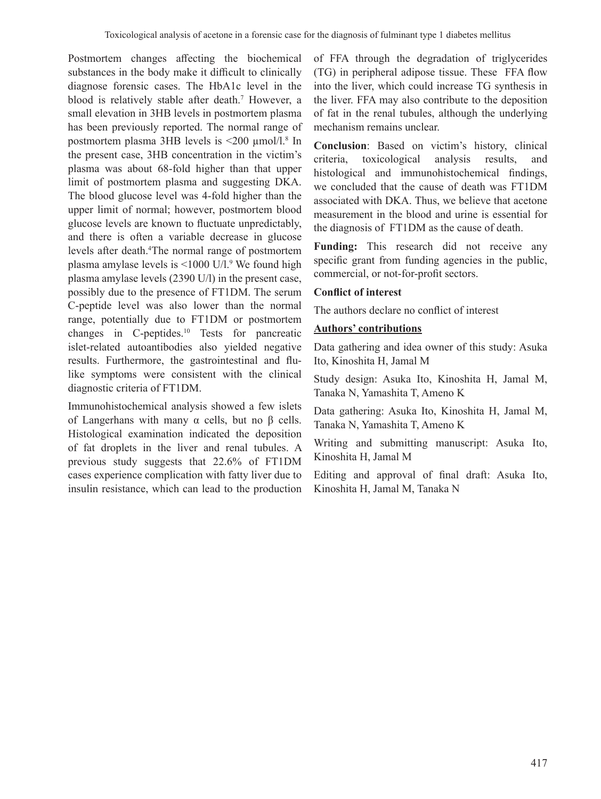Postmortem changes affecting the biochemical substances in the body make it difficult to clinically diagnose forensic cases. The HbA1c level in the blood is relatively stable after death.<sup>7</sup> However, a small elevation in 3HB levels in postmortem plasma has been previously reported. The normal range of postmortem plasma 3HB levels is <200 µmol/l.8 In the present case, 3HB concentration in the victim's plasma was about 68-fold higher than that upper limit of postmortem plasma and suggesting DKA. The blood glucose level was 4-fold higher than the upper limit of normal; however, postmortem blood glucose levels are known to fluctuate unpredictably, and there is often a variable decrease in glucose levels after death.<sup>4</sup>The normal range of postmortem plasma amylase levels is <1000 U/l.<sup>9</sup> We found high plasma amylase levels (2390 U/l) in the present case, possibly due to the presence of FT1DM. The serum C-peptide level was also lower than the normal range, potentially due to FT1DM or postmortem changes in C-peptides.<sup>10</sup> Tests for pancreatic islet-related autoantibodies also yielded negative results. Furthermore, the gastrointestinal and flulike symptoms were consistent with the clinical diagnostic criteria of FT1DM.

Immunohistochemical analysis showed a few islets of Langerhans with many α cells, but no β cells. Histological examination indicated the deposition of fat droplets in the liver and renal tubules. A previous study suggests that 22.6% of FT1DM cases experience complication with fatty liver due to insulin resistance, which can lead to the production

of FFA through the degradation of triglycerides (TG) in peripheral adipose tissue. These FFA flow into the liver, which could increase TG synthesis in the liver. FFA may also contribute to the deposition of fat in the renal tubules, although the underlying mechanism remains unclear.

**Conclusion**: Based on victim's history, clinical criteria, toxicological analysis results, and histological and immunohistochemical findings, we concluded that the cause of death was FT1DM associated with DKA. Thus, we believe that acetone measurement in the blood and urine is essential for the diagnosis of FT1DM as the cause of death.

**Funding:** This research did not receive any specific grant from funding agencies in the public, commercial, or not-for-profit sectors.

## **Conflict of interest**

The authors declare no conflict of interest

## **Authors' contributions**

Data gathering and idea owner of this study: Asuka Ito, Kinoshita H, Jamal M

Study design: Asuka Ito, Kinoshita H, Jamal M, Tanaka N, Yamashita T, Ameno K

Data gathering: Asuka Ito, Kinoshita H, Jamal M, Tanaka N, Yamashita T, Ameno K

Writing and submitting manuscript: Asuka Ito, Kinoshita H, Jamal M

Editing and approval of final draft: Asuka Ito, Kinoshita H, Jamal M, Tanaka N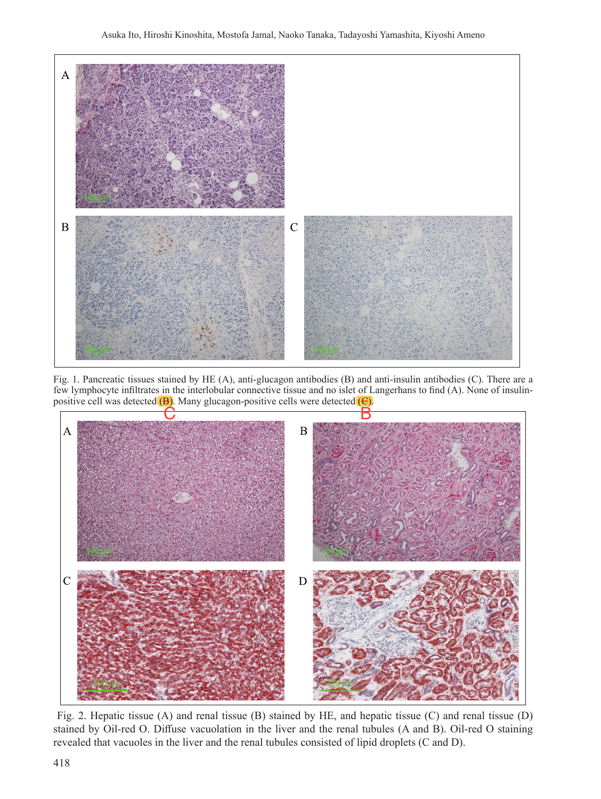

Fig. 1. Pancreatic tissues stained by HE (A), anti-glucagon antibodies (B) and anti-insulin antibodies (C). There are a few lymphocyte infiltrates in the interlobular connective tissue and no islet of Langerhans to find (A). None of insulinpositive cell was detected  $(B)$ . Many glucagon-positive cells were detected  $(C)$ .



Fig. 2. Hepatic tissue (A) and renal tissue (B) stained by HE, and hepatic tissue (C) and renal tissue (D) stained by Oil-red O. Diffuse vacuolation in the liver and the renal tubules (A and B). Oil-red O staining revealed that vacuoles in the liver and the renal tubules consisted of lipid droplets (C and D).